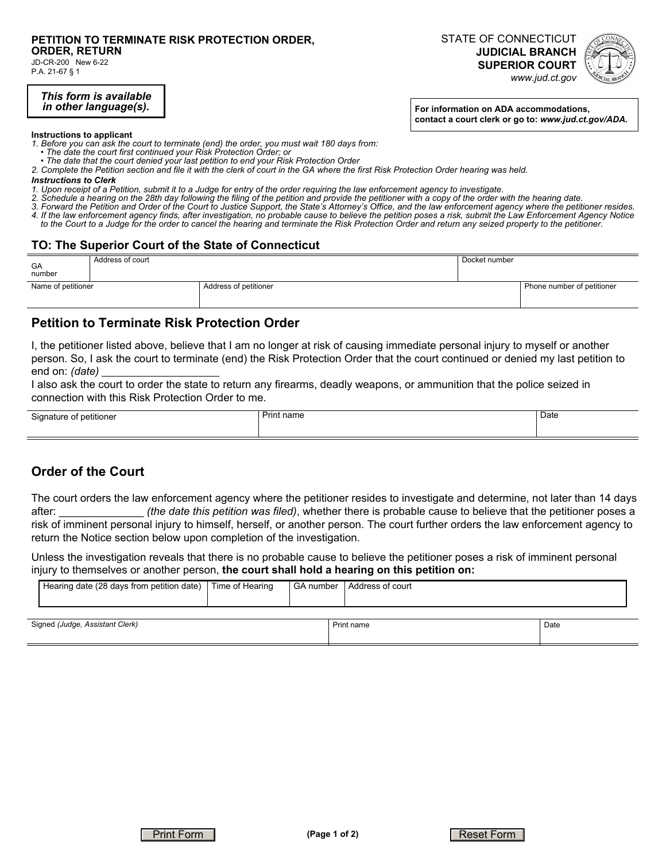# **PETITION TO TERMINATE RISK PROTECTION ORDER,**

**ORDER, RETURN** 

JD-CR-200 New 6-22 P.A. 21-67 § 1

> *This form is available in other language(s).*

**For information on ADA accommodations, contact a court clerk or go to:** *www.jud.ct.gov/ADA.*

**JUDICIAL BRANCH SUPERIOR COURT**  *www.jud.ct.gov*

STATE OF CONNECTICUT

**Instructions to applicant** 

*1. Before you can ask the court to terminate (end) the order, you must wait 180 days from:* 

- *The date the court first continued your Risk Protection Order; or*
- *The date that the court denied your last petition to end your Risk Protection Order*
- *2. Complete the Petition section and file it with the clerk of court in the GA where the first Risk Protection Order hearing was held.*

# *Instructions to Clerk*

- *1. Upon receipt of a Petition, submit it to a Judge for entry of the order requiring the law enforcement agency to investigate.*
- *2. Schedule a hearing on the 28th day following the filing of the petition and provide the petitioner with a copy of the order with the hearing date.*
- *3. Forward the Petition and Order of the Court to Justice Support, the State's Attorney's Office, and the law enforcement agency where the petitioner resides. 4. If the law enforcement agency finds, after investigation, no probable cause to believe the petition poses a risk, submit the Law Enforcement Agency Notice*
- *to the Court to a Judge for the order to cancel the hearing and terminate the Risk Protection Order and return any seized property to the petitioner.*

### **TO: The Superior Court of the State of Connecticut**

| GA<br>number       | Address of court |                       | Docket number |                            |
|--------------------|------------------|-----------------------|---------------|----------------------------|
| Name of petitioner |                  | Address of petitioner |               | Phone number of petitioner |

## **Petition to Terminate Risk Protection Order**

I, the petitioner listed above, believe that I am no longer at risk of causing immediate personal injury to myself or another person. So, I ask the court to terminate (end) the Risk Protection Order that the court continued or denied my last petition to end on: *(date)*

I also ask the court to order the state to return any firearms, deadly weapons, or ammunition that the police seized in connection with this Risk Protection Order to me.

| Siar<br>tione.<br>וזנ<br>. . | nome<br>. | Date |
|------------------------------|-----------|------|
|------------------------------|-----------|------|

# **Order of the Court**

The court orders the law enforcement agency where the petitioner resides to investigate and determine, not later than 14 days after: \_\_\_\_\_\_\_\_\_\_\_\_\_\_ *(the date this petition was filed)*, whether there is probable cause to believe that the petitioner poses a risk of imminent personal injury to himself, herself, or another person. The court further orders the law enforcement agency to return the Notice section below upon completion of the investigation.

Unless the investigation reveals that there is no probable cause to believe the petitioner poses a risk of imminent personal injury to themselves or another person, **the court shall hold a hearing on this petition on:**

| Hearing date (28 days from petition date) | Time of Hearing |  | GA number   Address of court |      |
|-------------------------------------------|-----------------|--|------------------------------|------|
|                                           |                 |  |                              |      |
| Signed (Judge, Assistant Clerk)           |                 |  | Print name                   | Date |